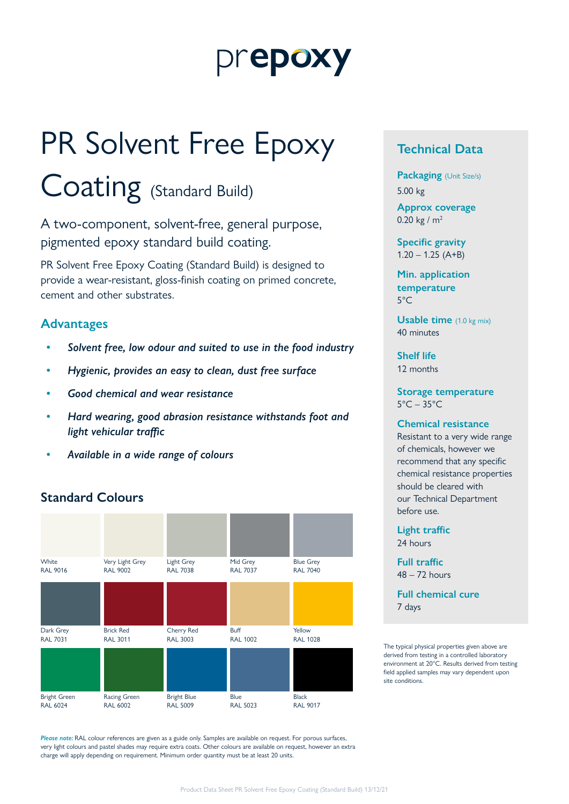## prepoxy

# PR Solvent Free Epoxy

## Coating (Standard Build)

A two-component, solvent-free, general purpose, pigmented epoxy standard build coating.

PR Solvent Free Epoxy Coating (Standard Build) is designed to provide a wear-resistant, gloss-finish coating on primed concrete, cement and other substrates.

#### **Advantages**

- *• Solvent free, low odour and suited to use in the food industry*
- *• Hygienic, provides an easy to clean, dust free surface*
- *• Good chemical and wear resistance*
- *• Hard wearing, good abrasion resistance withstands foot and light vehicular traffic*
- *• Available in a wide range of colours*

#### **Standard Colours**



*Please note:* RAL colour references are given as a guide only. Samples are available on request. For porous surfaces, very light colours and pastel shades may require extra coats. Other colours are available on request, however an extra charge will apply depending on requirement. Minimum order quantity must be at least 20 units.

#### **Technical Data**

**Packaging** (Unit Size/s) 5.00 kg

**Approx coverage** 0.20 kg /  $m<sup>2</sup>$ 

**Specific gravity**  $1.20 - 1.25$  (A+B)

**Min. application temperature** 5°C

**Usable time** (1.0 kg mix) 40 minutes

**Shelf life** 12 months

**Storage temperature**  $5^{\circ}$ C – 35 $^{\circ}$ C

#### **Chemical resistance**

Resistant to a very wide range of chemicals, however we recommend that any specific chemical resistance properties should be cleared with our Technical Department before use.

**Light traffic** 24 hours

**Full traffic** 48 – 72 hours

**Full chemical cure** 7 days

The typical physical properties given above are derived from testing in a controlled laboratory environment at 20°C. Results derived from testing field applied samples may vary dependent upon site conditions.